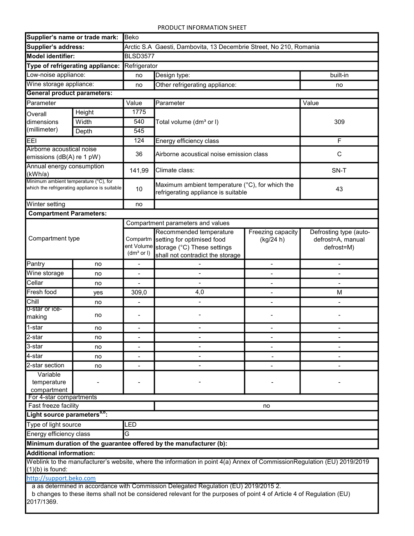## PRODUCT INFORMATION SHEET

| Supplier's name or trade mark:                                                                                  |        | <b>Beko</b>                                                        |                                                                                                                          |                                |                                                           |  |  |  |  |  |
|-----------------------------------------------------------------------------------------------------------------|--------|--------------------------------------------------------------------|--------------------------------------------------------------------------------------------------------------------------|--------------------------------|-----------------------------------------------------------|--|--|--|--|--|
| Supplier's address:                                                                                             |        | Arctic S.A Gaesti, Dambovita, 13 Decembrie Street, No 210, Romania |                                                                                                                          |                                |                                                           |  |  |  |  |  |
| Model identifier:                                                                                               |        | <b>BLSD3577</b>                                                    |                                                                                                                          |                                |                                                           |  |  |  |  |  |
| Type of refrigerating appliance:                                                                                |        | Refrigerator                                                       |                                                                                                                          |                                |                                                           |  |  |  |  |  |
| Low-noise appliance:                                                                                            |        | no                                                                 | Design type:                                                                                                             | built-in                       |                                                           |  |  |  |  |  |
| Wine storage appliance:                                                                                         |        | no                                                                 | Other refrigerating appliance:                                                                                           | no                             |                                                           |  |  |  |  |  |
| <b>General product parameters:</b>                                                                              |        |                                                                    |                                                                                                                          |                                |                                                           |  |  |  |  |  |
| Parameter                                                                                                       |        | Value                                                              | Parameter                                                                                                                | Value                          |                                                           |  |  |  |  |  |
| Overall                                                                                                         | Height | 1775                                                               |                                                                                                                          |                                |                                                           |  |  |  |  |  |
| dimensions                                                                                                      | Width  | 540                                                                | Total volume (dm <sup>3</sup> or I)                                                                                      |                                | 309                                                       |  |  |  |  |  |
| (millimeter)<br>Depth                                                                                           |        | 545                                                                |                                                                                                                          |                                |                                                           |  |  |  |  |  |
| <b>EEI</b>                                                                                                      |        | 124                                                                | Energy efficiency class                                                                                                  | F                              |                                                           |  |  |  |  |  |
| Airborne acoustical noise                                                                                       |        |                                                                    |                                                                                                                          |                                |                                                           |  |  |  |  |  |
| emissions (dB(A) re 1 pW)                                                                                       |        | 36                                                                 | Airborne acoustical noise emission class                                                                                 | $\mathsf C$                    |                                                           |  |  |  |  |  |
| Annual energy consumption<br>(kWh/a)                                                                            |        | 141,99                                                             | Climate class:                                                                                                           | SN-T                           |                                                           |  |  |  |  |  |
| Minimum ambient temperature (°C), for<br>which the refrigerating appliance is suitable                          |        | 10                                                                 | Maximum ambient temperature (°C), for which the<br>refrigerating appliance is suitable                                   | 43                             |                                                           |  |  |  |  |  |
| Winter setting                                                                                                  |        | no                                                                 |                                                                                                                          |                                |                                                           |  |  |  |  |  |
| <b>Compartment Parameters:</b>                                                                                  |        |                                                                    |                                                                                                                          |                                |                                                           |  |  |  |  |  |
|                                                                                                                 |        |                                                                    | Compartment parameters and values                                                                                        |                                |                                                           |  |  |  |  |  |
| Compartment type                                                                                                |        | Compartm<br>ent Volume<br>(dm <sup>3</sup> or I)                   | Recommended temperature<br>setting for optimised food<br>storage (°C) These settings<br>shall not contradict the storage | Freezing capacity<br>(kg/24 h) | Defrosting type (auto-<br>defrost=A, manual<br>defrost=M) |  |  |  |  |  |
| Pantry                                                                                                          | no     |                                                                    |                                                                                                                          | $\overline{a}$                 |                                                           |  |  |  |  |  |
| Wine storage                                                                                                    | no     |                                                                    |                                                                                                                          |                                |                                                           |  |  |  |  |  |
| Cellar                                                                                                          | no     |                                                                    |                                                                                                                          |                                |                                                           |  |  |  |  |  |
| Fresh food                                                                                                      | yes    | 309,0                                                              | 4,0                                                                                                                      |                                | М                                                         |  |  |  |  |  |
| Chill                                                                                                           | no     | $\overline{\phantom{a}}$                                           |                                                                                                                          |                                |                                                           |  |  |  |  |  |
| <b>U-star or ice-</b><br>making                                                                                 | no     |                                                                    |                                                                                                                          |                                |                                                           |  |  |  |  |  |
| 1-star                                                                                                          | no     |                                                                    |                                                                                                                          |                                |                                                           |  |  |  |  |  |
| $\overline{2}$ -star                                                                                            | no     |                                                                    |                                                                                                                          |                                |                                                           |  |  |  |  |  |
| 3-star                                                                                                          | no     |                                                                    |                                                                                                                          |                                |                                                           |  |  |  |  |  |
| 4-star                                                                                                          | no     |                                                                    |                                                                                                                          |                                |                                                           |  |  |  |  |  |
| 2-star section                                                                                                  | no     | $\blacksquare$                                                     |                                                                                                                          |                                |                                                           |  |  |  |  |  |
| Variable<br>temperature<br>compartment                                                                          |        |                                                                    |                                                                                                                          |                                |                                                           |  |  |  |  |  |
| For 4-star compartments<br>Fast freeze facility                                                                 |        |                                                                    |                                                                                                                          |                                |                                                           |  |  |  |  |  |
|                                                                                                                 |        |                                                                    |                                                                                                                          | no                             |                                                           |  |  |  |  |  |
| Light source parameters <sup>a,b</sup> :                                                                        |        |                                                                    |                                                                                                                          |                                |                                                           |  |  |  |  |  |
| Type of light source                                                                                            |        | LED                                                                |                                                                                                                          |                                |                                                           |  |  |  |  |  |
| Energy efficiency class<br>G                                                                                    |        |                                                                    |                                                                                                                          |                                |                                                           |  |  |  |  |  |
| Minimum duration of the guarantee offered by the manufacturer (b):                                              |        |                                                                    |                                                                                                                          |                                |                                                           |  |  |  |  |  |
| <b>Additional information:</b><br>$(1)(b)$ is found:                                                            |        |                                                                    | Weblink to the manufacturer's website, where the information in point 4(a) Annex of CommissionRegulation (EU) 2019/2019  |                                |                                                           |  |  |  |  |  |
| http://support.beko.com<br>a as determined in accordance with Commission Delegated Regulation (EU) 2019/2015 2. |        |                                                                    |                                                                                                                          |                                |                                                           |  |  |  |  |  |

 b changes to these items shall not be considered relevant for the purposes of point 4 of Article 4 of Regulation (EU) 2017/1369.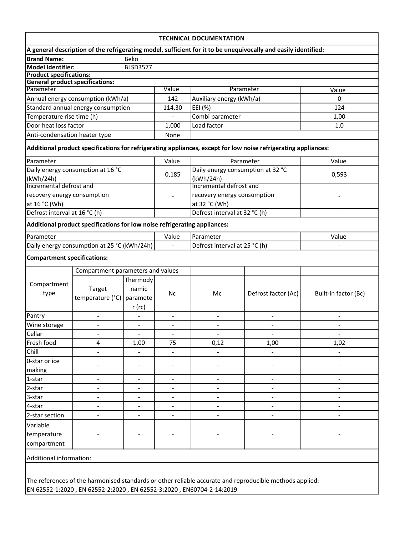| <b>TECHNICAL DOCUMENTATION</b>                                                                          |                                                                           |                          |                              |                                   |                                                                                                                |                          |  |  |  |  |
|---------------------------------------------------------------------------------------------------------|---------------------------------------------------------------------------|--------------------------|------------------------------|-----------------------------------|----------------------------------------------------------------------------------------------------------------|--------------------------|--|--|--|--|
|                                                                                                         |                                                                           |                          |                              |                                   | A general description of the refrigerating model, sufficient for it to be unequivocally and easily identified: |                          |  |  |  |  |
| <b>Brand Name:</b>                                                                                      |                                                                           | Beko                     |                              |                                   |                                                                                                                |                          |  |  |  |  |
| <b>Model Identifier:</b>                                                                                |                                                                           | <b>BLSD3577</b>          |                              |                                   |                                                                                                                |                          |  |  |  |  |
| <b>Product specifications:</b>                                                                          |                                                                           |                          |                              |                                   |                                                                                                                |                          |  |  |  |  |
| <b>General product specifications:</b><br>Parameter                                                     |                                                                           |                          | Value                        |                                   | Parameter                                                                                                      | Value                    |  |  |  |  |
| Annual energy consumption (kWh/a)                                                                       |                                                                           |                          | 142                          | Auxiliary energy (kWh/a)          |                                                                                                                | $\Omega$                 |  |  |  |  |
| Standard annual energy consumption                                                                      |                                                                           |                          | 114,30                       | EEI (%)                           |                                                                                                                | 124                      |  |  |  |  |
| Temperature rise time (h)                                                                               |                                                                           |                          |                              | Combi parameter                   |                                                                                                                | 1,00                     |  |  |  |  |
| Door heat loss factor                                                                                   |                                                                           |                          | 1,000                        | Load factor                       |                                                                                                                | 1,0                      |  |  |  |  |
| Anti-condensation heater type                                                                           |                                                                           |                          | None                         |                                   |                                                                                                                |                          |  |  |  |  |
|                                                                                                         |                                                                           |                          |                              |                                   | Additional product specifications for refrigerating appliances, except for low noise refrigerating appliances: |                          |  |  |  |  |
| Parameter                                                                                               |                                                                           |                          | Value                        | Parameter                         |                                                                                                                | Value                    |  |  |  |  |
| Daily energy consumption at 16 °C                                                                       |                                                                           |                          |                              | Daily energy consumption at 32 °C |                                                                                                                |                          |  |  |  |  |
| (kWh/24h)                                                                                               |                                                                           |                          | 0,185                        | (kWh/24h)                         |                                                                                                                | 0,593                    |  |  |  |  |
| Incremental defrost and                                                                                 |                                                                           |                          |                              | Incremental defrost and           |                                                                                                                |                          |  |  |  |  |
| recovery energy consumption                                                                             |                                                                           |                          |                              | recovery energy consumption       |                                                                                                                |                          |  |  |  |  |
| at 16 °C (Wh)                                                                                           |                                                                           |                          |                              | at 32 °C (Wh)                     |                                                                                                                |                          |  |  |  |  |
| Defrost interval at 16 °C (h)                                                                           |                                                                           |                          |                              | Defrost interval at 32 °C (h)     |                                                                                                                |                          |  |  |  |  |
|                                                                                                         | Additional product specifications for low noise refrigerating appliances: |                          |                              |                                   |                                                                                                                |                          |  |  |  |  |
| Parameter                                                                                               |                                                                           |                          | Value                        | Parameter                         |                                                                                                                | Value                    |  |  |  |  |
|                                                                                                         | Daily energy consumption at 25 °C (kWh/24h)                               |                          |                              | Defrost interval at 25 °C (h)     |                                                                                                                |                          |  |  |  |  |
| <b>Compartment specifications:</b>                                                                      |                                                                           |                          |                              |                                   |                                                                                                                |                          |  |  |  |  |
| Compartment parameters and values                                                                       |                                                                           |                          |                              |                                   |                                                                                                                |                          |  |  |  |  |
|                                                                                                         | Target                                                                    | Thermody                 | <b>Nc</b>                    | Mc                                | Defrost factor (Ac)                                                                                            | Built-in factor (Bc)     |  |  |  |  |
| Compartment                                                                                             |                                                                           | namic                    |                              |                                   |                                                                                                                |                          |  |  |  |  |
| type                                                                                                    | temperature (°C)                                                          | paramete                 |                              |                                   |                                                                                                                |                          |  |  |  |  |
|                                                                                                         |                                                                           | $r$ (rc)                 |                              |                                   |                                                                                                                |                          |  |  |  |  |
| Pantry                                                                                                  | $\overline{a}$                                                            |                          | $\qquad \qquad \blacksquare$ |                                   | $\qquad \qquad \blacksquare$                                                                                   | $\overline{a}$           |  |  |  |  |
| Wine storage                                                                                            | $\overline{a}$                                                            | $\overline{\phantom{a}}$ | $\overline{\phantom{a}}$     |                                   |                                                                                                                |                          |  |  |  |  |
| Cellar                                                                                                  |                                                                           |                          |                              |                                   |                                                                                                                |                          |  |  |  |  |
| Fresh food                                                                                              | 4                                                                         | 1,00                     | 75                           | 0,12                              | 1,00                                                                                                           | 1,02                     |  |  |  |  |
| Chill                                                                                                   |                                                                           |                          |                              |                                   |                                                                                                                |                          |  |  |  |  |
| 0-star or ice                                                                                           |                                                                           | $\overline{\phantom{a}}$ |                              |                                   |                                                                                                                |                          |  |  |  |  |
| making                                                                                                  |                                                                           |                          |                              |                                   |                                                                                                                |                          |  |  |  |  |
| 1-star                                                                                                  | $\overline{a}$                                                            |                          | $\overline{\phantom{a}}$     |                                   | $\overline{\phantom{a}}$                                                                                       |                          |  |  |  |  |
| 2-star                                                                                                  |                                                                           | $\overline{\phantom{a}}$ |                              |                                   |                                                                                                                |                          |  |  |  |  |
| 3-star<br>4-star                                                                                        | $\overline{\phantom{a}}$                                                  |                          |                              | -<br>$\overline{\phantom{a}}$     | $\qquad \qquad \blacksquare$                                                                                   | -                        |  |  |  |  |
| 2-star section                                                                                          |                                                                           | $\overline{\phantom{a}}$ |                              |                                   | $\overline{\phantom{a}}$                                                                                       | $\overline{\phantom{a}}$ |  |  |  |  |
|                                                                                                         |                                                                           |                          |                              |                                   |                                                                                                                |                          |  |  |  |  |
| Variable                                                                                                |                                                                           |                          |                              |                                   |                                                                                                                |                          |  |  |  |  |
| temperature                                                                                             |                                                                           |                          |                              |                                   |                                                                                                                |                          |  |  |  |  |
| compartment                                                                                             |                                                                           |                          |                              |                                   |                                                                                                                |                          |  |  |  |  |
| Additional information:                                                                                 |                                                                           |                          |                              |                                   |                                                                                                                |                          |  |  |  |  |
|                                                                                                         |                                                                           |                          |                              |                                   |                                                                                                                |                          |  |  |  |  |
| The references of the harmonised standards or other reliable accurate and reproducible methods applied: |                                                                           |                          |                              |                                   |                                                                                                                |                          |  |  |  |  |

EN 62552-1:2020 , EN 62552-2:2020 , EN 62552-3:2020 , EN60704-2-14:2019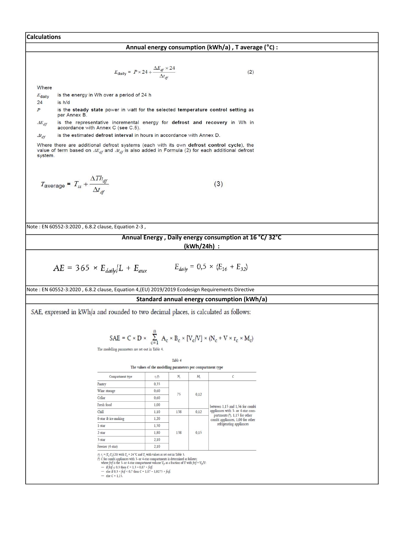Note : EN 60552-3:2020 , 6.8.2 clause, Equation 2-3 , Annual Energy , Daily energy consumption at 16 °C/ 32°C (kWh/24h) : Note : EN 60552-3:2020 , 6.8.2 clause, Equation 4,(EU) 2019/2019 Ecodesign Requirements Directive Standard annual energy consumption (kWh/a) Calculations Annual energy consumption (kWh/a) , T average (°C) :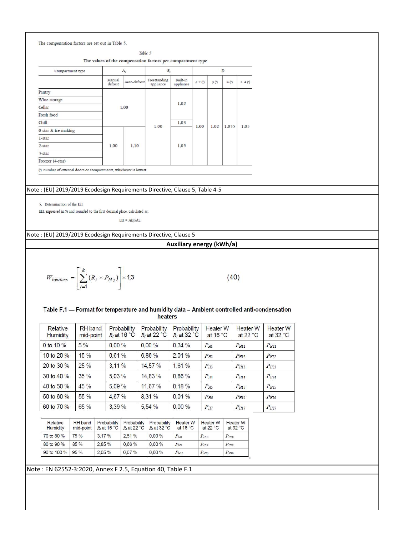